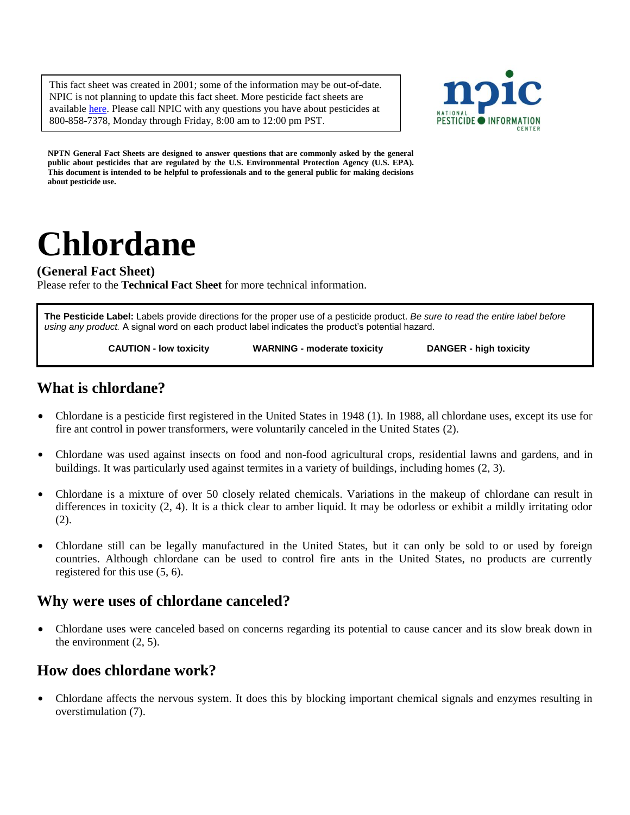This fact sheet was created in 2001; some of the information may be out-of-date. NPIC is not planning to update this fact sheet. More pesticide fact sheets are available [here.](http://npic.orst.edu/ingred/aifact.html) Please call NPIC with any questions you have about pesticides at 800-858-7378, Monday through Friday, 8:00 am to 12:00 pm PST.



**NPTN General Fact Sheets are designed to answer questions that are commonly asked by the general public about pesticides that are regulated by the U.S. Environmental Protection Agency (U.S. EPA). This document is intended to be helpful to professionals and to the general public for making decisions about pesticide use.**

# **Chlordane**

### **(General Fact Sheet)**

Please refer to the **Technical Fact Sheet** for more technical information.

**The Pesticide Label:** Labels provide directions for the proper use of a pesticide product. *Be sure to read the entire label before using any product.* A signal word on each product label indicates the product's potential hazard.

 **CAUTION - low toxicity WARNING - moderate toxicity DANGER - high toxicity**

## **What is chlordane?**

- Chlordane is a pesticide first registered in the United States in 1948 (1). In 1988, all chlordane uses, except its use for fire ant control in power transformers, were voluntarily canceled in the United States (2).
- Chlordane was used against insects on food and non-food agricultural crops, residential lawns and gardens, and in buildings. It was particularly used against termites in a variety of buildings, including homes (2, 3).
- Chlordane is a mixture of over 50 closely related chemicals. Variations in the makeup of chlordane can result in differences in toxicity (2, 4). It is a thick clear to amber liquid. It may be odorless or exhibit a mildly irritating odor (2).
- Chlordane still can be legally manufactured in the United States, but it can only be sold to or used by foreign countries. Although chlordane can be used to control fire ants in the United States, no products are currently registered for this use (5, 6).

## **Why were uses of chlordane canceled?**

• Chlordane uses were canceled based on concerns regarding its potential to cause cancer and its slow break down in the environment (2, 5).

## **How does chlordane work?**

• Chlordane affects the nervous system. It does this by blocking important chemical signals and enzymes resulting in overstimulation (7).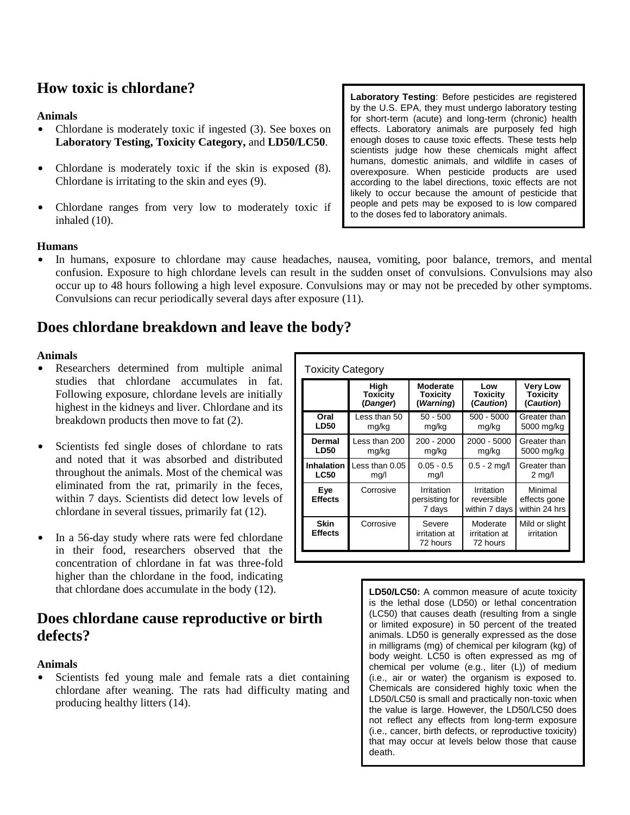## **How toxic is chlordane?**

#### **Animals**

- Chlordane is moderately toxic if ingested (3). See boxes on **Laboratory Testing, Toxicity Category,** and **LD50/LC50**.
- Chlordane is moderately toxic if the skin is exposed (8). Chlordane is irritating to the skin and eyes (9).
- Chlordane ranges from very low to moderately toxic if inhaled (10).

#### **Humans**

In humans, exposure to chlordane may cause headaches, nausea, vomiting, poor balance, tremors, and mental confusion. Exposure to high chlordane levels can result in the sudden onset of convulsions. Convulsions may also occur up to 48 hours following a high level exposure. Convulsions may or may not be preceded by other symptoms. Convulsions can recur periodically several days after exposure (11).

## **Does chlordane breakdown and leave the body?**

#### **Animals**

- Researchers determined from multiple animal studies that chlordane accumulates in fat. Following exposure, chlordane levels are initially highest in the kidneys and liver. Chlordane and its breakdown products then move to fat (2).
- Scientists fed single doses of chlordane to rats and noted that it was absorbed and distributed throughout the animals. Most of the chemical was eliminated from the rat, primarily in the feces, within 7 days. Scientists did detect low levels of chlordane in several tissues, primarily fat (12).
- In a 56-day study where rats were fed chlordane in their food, researchers observed that the concentration of chlordane in fat was three-fold higher than the chlordane in the food, indicating that chlordane does accumulate in the body (12).

## **Does chlordane cause reproductive or birth defects?**

#### **Animals**

Scientists fed young male and female rats a diet containing chlordane after weaning. The rats had difficulty mating and producing healthy litters (14).

| <b>Toxicity Category</b>      |                 |                                        |                                           |                                            |
|-------------------------------|-----------------|----------------------------------------|-------------------------------------------|--------------------------------------------|
|                               | High            | Moderate                               | Low                                       | <b>Very Low</b>                            |
|                               | <b>Toxicity</b> | <b>Toxicity</b>                        | Toxicity                                  | <b>Toxicity</b>                            |
|                               | (Danger)        | (Warning)                              | (Caution)                                 | (Caution)                                  |
| Oral                          | Less than 50    | $50 - 500$                             | $500 - 5000$                              | Greater than                               |
| <b>LD50</b>                   | mg/kg           | mg/kg                                  | mg/kg                                     | 5000 mg/kg                                 |
| <b>Dermal</b>                 | Less than 200   | $200 - 2000$                           | 2000 - 5000                               | Greater than                               |
| <b>LD50</b>                   | mg/kg           | mg/kg                                  | mg/kg                                     | 5000 mg/kg                                 |
| <b>Inhalation</b>             | ess than 0.05   | $0.05 - 0.5$                           | $0.5 - 2$ mg/l                            | Greater than                               |
| <b>LC50</b>                   | mq/l            | mg/l                                   |                                           | $2 \text{ mg/l}$                           |
| Eye<br><b>Effects</b>         | Corrosive       | Irritation<br>persisting for<br>7 days | Irritation<br>reversible<br>within 7 days | Minimal<br>effects gone<br>within 24 hrs I |
| <b>Skin</b><br><b>Effects</b> | Corrosive       | Severe<br>irritation at<br>72 hours    | Moderate<br>irritation at<br>72 hours     | Mild or slight<br>irritation               |

**LD50/LC50:** A common measure of acute toxicity is the lethal dose (LD50) or lethal concentration (LC50) that causes death (resulting from a single or limited exposure) in 50 percent of the treated animals. LD50 is generally expressed as the dose in milligrams (mg) of chemical per kilogram (kg) of body weight. LC50 is often expressed as mg of chemical per volume (e.g., liter (L)) of medium (i.e., air or water) the organism is exposed to. Chemicals are considered highly toxic when the LD50/LC50 is small and practically non-toxic when the value is large. However, the LD50/LC50 does not reflect any effects from long-term exposure (i.e., cancer, birth defects, or reproductive toxicity) that may occur at levels below those that cause death.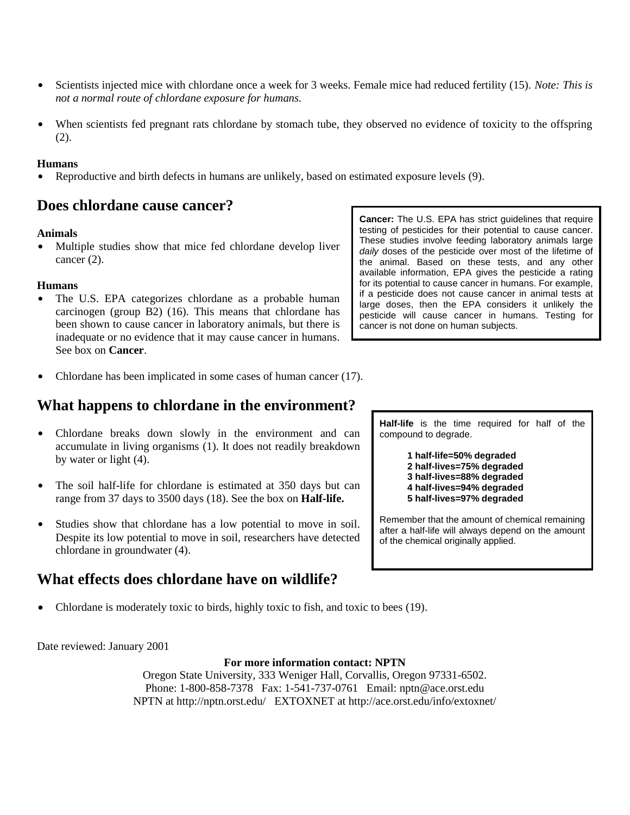- Scientists injected mice with chlordane once a week for 3 weeks. Female mice had reduced fertility (15). *Note: This is not a normal route of chlordane exposure for humans.*
- When scientists fed pregnant rats chlordane by stomach tube, they observed no evidence of toxicity to the offspring (2).

#### **Humans**

Reproductive and birth defects in humans are unlikely, based on estimated exposure levels (9).

## **Does chlordane cause cancer?**

#### **Animals**

• Multiple studies show that mice fed chlordane develop liver cancer (2).

#### **Humans**

- The U.S. EPA categorizes chlordane as a probable human carcinogen (group B2) (16). This means that chlordane has been shown to cause cancer in laboratory animals, but there is inadequate or no evidence that it may cause cancer in humans. See box on **Cancer**.
- **Cancer:** The U.S. EPA has strict guidelines that require testing of pesticides for their potential to cause cancer. These studies involve feeding laboratory animals large *daily* doses of the pesticide over most of the lifetime of the animal. Based on these tests, and any other available information, EPA gives the pesticide a rating for its potential to cause cancer in humans. For example, if a pesticide does not cause cancer in animal tests at large doses, then the EPA considers it unlikely the pesticide will cause cancer in humans. Testing for cancer is not done on human subjects.
- Chlordane has been implicated in some cases of human cancer  $(17)$ .

## **What happens to chlordane in the environment?**

- Chlordane breaks down slowly in the environment and can accumulate in living organisms (1). It does not readily breakdown by water or light (4).
- The soil half-life for chlordane is estimated at 350 days but can range from 37 days to 3500 days (18). See the box on **Half-life.**
- Studies show that chlordane has a low potential to move in soil. Despite its low potential to move in soil, researchers have detected chlordane in groundwater (4).

# **What effects does chlordane have on wildlife?**

Chlordane is moderately toxic to birds, highly toxic to fish, and toxic to bees (19).

Date reviewed: January 2001

#### **For more information contact: NPTN**

Oregon State University, 333 Weniger Hall, Corvallis, Oregon 97331-6502. Phone: 1-800-858-7378 Fax: 1-541-737-0761 Email: nptn@ace.orst.edu NPTN at http://nptn.orst.edu/ EXTOXNET at http://ace.orst.edu/info/extoxnet/

**Half-life** is the time required for half of the compound to degrade.

> **1 half-life=50% degraded 2 half-lives=75% degraded 3 half-lives=88% degraded 4 half-lives=94% degraded 5 half-lives=97% degraded**

Remember that the amount of chemical remaining after a half-life will always depend on the amount of the chemical originally applied.